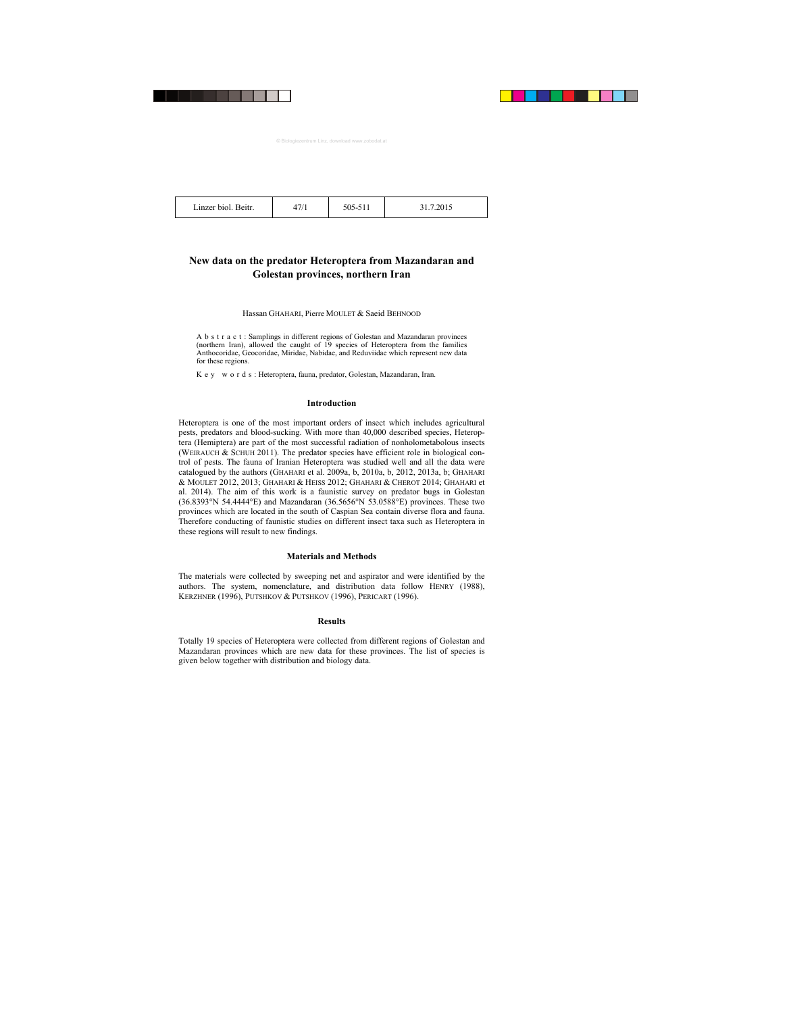| Linzer biol.<br>Beitr. | $1 - 11$ | ` | ب رب ک |
|------------------------|----------|---|--------|
|                        |          |   |        |

## **New data on the predator Heteroptera from Mazandaran and Golestan provinces, northern Iran**

#### Hassan GHAHARI, Pierre MOULET & Saeid BEHNOOD

A b s t r a c t : Samplings in different regions of Golestan and Mazandaran provinces (northern Iran), allowed the caught of 19 species of Heteroptera from the families Anthocoridae, Geocoridae, Miridae, Nabidae, and Reduviidae which represent new data for these regions.

Key words: Heteroptera, fauna, predator, Golestan, Mazandaran, Iran.

## **Introduction**

Heteroptera is one of the most important orders of insect which includes agricultural pests, predators and blood-sucking. With more than 40,000 described species, Heteroptera (Hemiptera) are part of the most successful radiation of nonholometabolous insects (WEIRAUCH  $&$  SCHUH 2011). The predator species have efficient role in biological control of pests. The fauna of Iranian Heteroptera was studied well and all the data were catalogued by the authors (GHAHARI et al. 2009a, b, 2010a, b, 2012, 2013a, b; GHAHARI & MOULET 2012, 2013; GHAHARI & HEISS 2012; GHAHARI & CHEROT 2014; GHAHARI et al. 2014). The aim of this work is a faunistic survey on predator bugs in Golestan (36.8393°N 54.4444°E) and Mazandaran (36.5656°N 53.0588°E) provinces. These two provinces which are located in the south of Caspian Sea contain diverse flora and fauna. Therefore conducting of faunistic studies on different insect taxa such as Heteroptera in these regions will result to new findings.

## **Materials and Methods**

The materials were collected by sweeping net and aspirator and were identified by the authors. The system, nomenclature, and distribution data follow HENRY (1988), KERZHNER (1996), PUTSHKOV & PUTSHKOV (1996), PERICART (1996).

## **Results**

Totally 19 species of Heteroptera were collected from different regions of Golestan and Mazandaran provinces which are new data for these provinces. The list of species is given below together with distribution and biology data.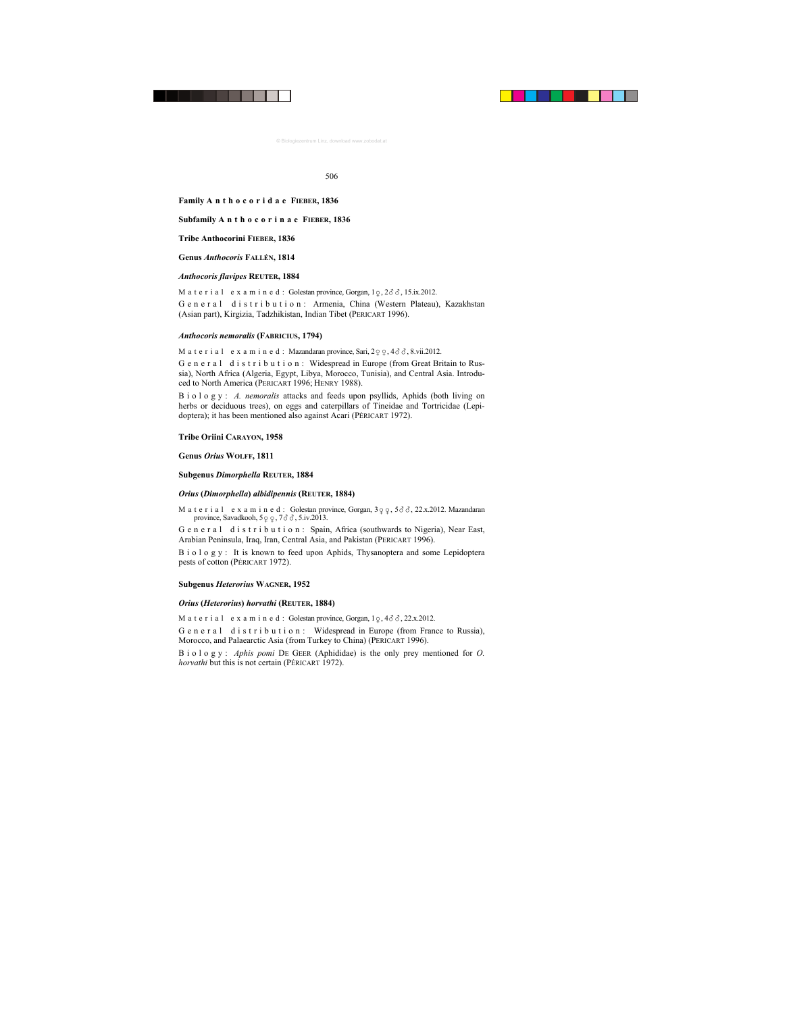## **Family A n t h o c o r i d a e FIEBER, 1836**

## **Subfamily A n t h o c o r i n a e FIEBER, 1836**

## **Tribe Anthocorini FIEBER, 1836**

**Genus** *Anthocoris* **FALLÉN, 1814** 

### *Anthocoris flavipes* **REUTER, 1884**

M a t e r i a l e x a m i n e d : Golestan province, Gorgan,  $1\varphi$ ,  $2\delta\delta$ ,  $15$ .ix.2012.

General distribution: Armenia, China (Western Plateau), Kazakhstan (Asian part), Kirgizia, Tadzhikistan, Indian Tibet (PERICART 1996).

#### *Anthocoris nemoralis* **(FABRICIUS, 1794)**

M a t e r i a l e x a m i n e d : Mazandaran province, Sari,  $2\varphi \varphi$ ,  $4\delta \delta$ , 8.vii.2012.

General distribution: Widespread in Europe (from Great Britain to Russia), North Africa (Algeria, Egypt, Libya, Morocco, Tunisia), and Central Asia. Introduced to North America (PERICART 1996; HENRY 1988).

Biology: *A. nemoralis* attacks and feeds upon psyllids, Aphids (both living on herbs or deciduous trees), on eggs and caterpillars of Tineidae and Tortricidae (Lepidoptera); it has been mentioned also against Acari (PÉRICART 1972).

#### **Tribe Oriini CARAYON, 1958**

## **Genus** *Orius* **WOLFF, 1811**

#### **Subgenus** *Dimorphella* **REUTER, 1884**

#### *Orius* **(***Dimorphella***)** *albidipennis* **(REUTER, 1884)**

Material examined: Golestan province, Gorgan,  $3\varphi$   $\varphi$ ,  $5\delta\delta$ , 22.x.2012. Mazandaran province, Savadkooh,  $5 \varphi \varphi$ ,  $7 \vartheta \vartheta$ ,  $5 \mathrm{.iv.}2013$ .

General distribution: Spain, Africa (southwards to Nigeria), Near East, Arabian Peninsula, Iraq, Iran, Central Asia, and Pakistan (PERICART 1996).

B i o l o g y : It is known to feed upon Aphids, Thysanoptera and some Lepidoptera pests of cotton (PÉRICART 1972).

## **Subgenus** *Heterorius* **WAGNER, 1952**

#### *Orius* **(***Heterorius***)** *horvathi* **(REUTER, 1884)**

M a t e r i a l e x a m i n e d : Golestan province, Gorgan,  $1\degree$ ,  $4\degree$   $\degree$ ,  $22.x.2012$ .

G e n e r a l d i s t r i b u t i o n : Widespread in Europe (from France to Russia), Morocco, and Palaearctic Asia (from Turkey to China) (PERICART 1996).

Biology: *Aphis pomi* DE GEER (Aphididae) is the only prey mentioned for *O. horvathi* but this is not certain (PÉRICART 1972).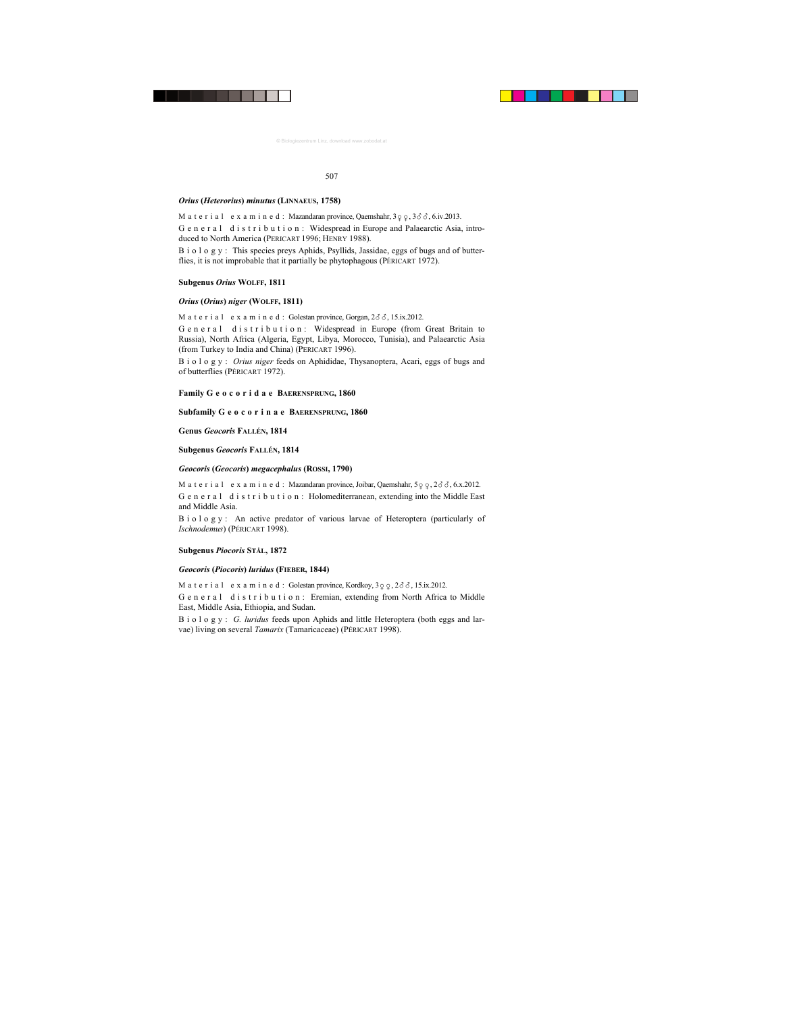### *Orius* **(***Heterorius***)** *minutus* **(LINNAEUS, 1758)**

M a t e r i a l e x a m i n e d : Mazandaran province, Qaemshahr,  $3 \varphi \varphi$ ,  $3 \delta \delta$ , 6.iv.2013.

General distribution: Widespread in Europe and Palaearctic Asia, introduced to North America (PERICART 1996; HENRY 1988).

B i o l o g y : This species preys Aphids, Psyllids, Jassidae, eggs of bugs and of butterflies, it is not improbable that it partially be phytophagous (PÉRICART 1972).

#### **Subgenus** *Orius* **WOLFF, 1811**

#### *Orius* **(***Orius***)** *niger* **(WOLFF, 1811)**

Material examined: Golestan province, Gorgan,  $2\delta\delta$ , 15.ix.2012.

General distribution: Widespread in Europe (from Great Britain to Russia), North Africa (Algeria, Egypt, Libya, Morocco, Tunisia), and Palaearctic Asia (from Turkey to India and China) (PERICART 1996).

Biology: *Orius niger* feeds on Aphididae, Thysanoptera, Acari, eggs of bugs and of butterflies (PÉRICART 1972).

#### **Family G e o c o r i d a e BAERENSPRUNG, 1860**

#### **Subfamily G e o c o r i n a e BAERENSPRUNG, 1860**

#### **Genus** *Geocoris* **FALLÉN, 1814**

**Subgenus** *Geocoris* **FALLÉN, 1814** 

### *Geocoris* **(***Geocoris***)** *megacephalus* **(ROSSI, 1790)**

M a t e r i a l e x a m i n e d : Mazandaran province, Joibar, Qaemshahr,  $5\varphi$   $\varphi$ ,  $2\delta\delta$ , 6.x.2012. General distribution: Holomediterranean, extending into the Middle East and Middle Asia.

B i o l o g y : An active predator of various larvae of Heteroptera (particularly of *Ischnodemus*) (PÉRICART 1998).

#### **Subgenus** *Piocoris* **STÅL, 1872**

#### *Geocoris* **(***Piocoris***)** *luridus* **(FIEBER, 1844)**

M a t e r i a l e x a m i n e d : Golestan province, Kordkoy,  $3\varphi \varphi$ ,  $2\delta \delta$ , 15.ix.2012.

General distribution: Eremian, extending from North Africa to Middle East, Middle Asia, Ethiopia, and Sudan.

Biology: *G. luridus* feeds upon Aphids and little Heteroptera (both eggs and larvae) living on several *Tamarix* (Tamaricaceae) (PÉRICART 1998).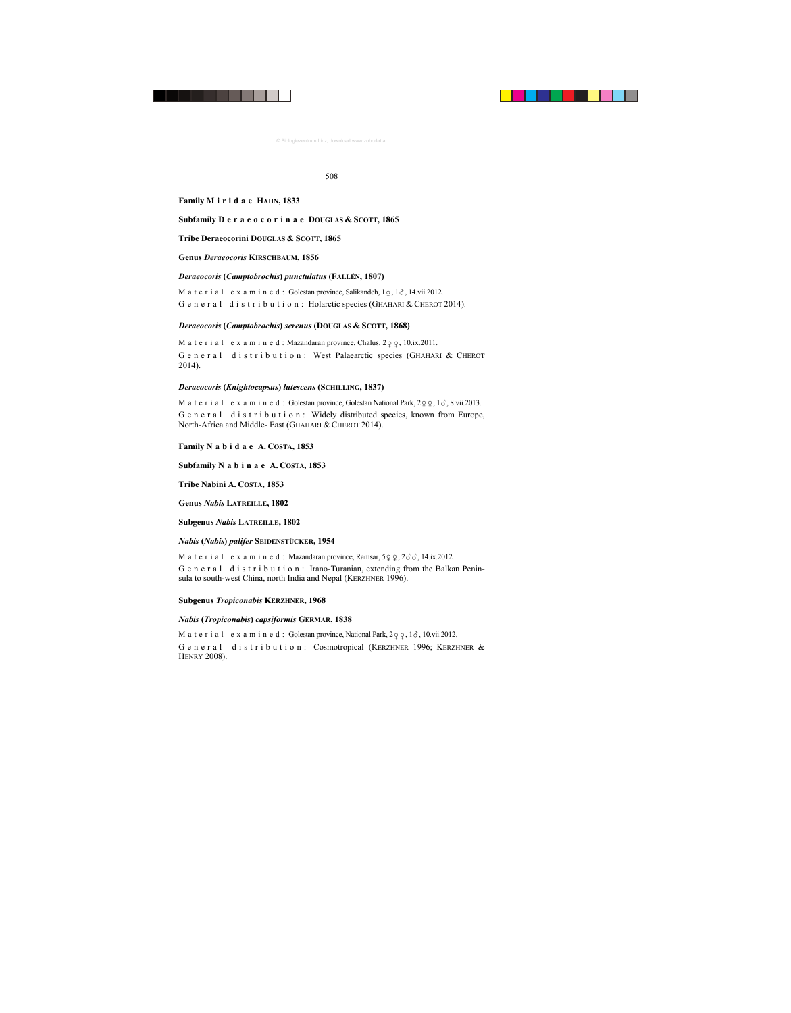## **Family M i r i d a e HAHN, 1833**

## **Subfamily D e r a e o c o r i n a e DOUGLAS & SCOTT, 1865**

**Tribe Deraeocorini DOUGLAS & SCOTT, 1865** 

## **Genus** *Deraeocoris* **KIRSCHBAUM, 1856**

## *Deraeocoris* **(***Camptobrochis***)** *punctulatus* **(FALLÉN, 1807)**

M a t e r i a  $1$  e x a m i n e d : Golestan province, Salikandeh,  $1 \sqrt{2}$ ,  $1 \sqrt{3}$ ,  $14$ .vii.2012. G e n e r a l d i s t r i b u t i o n : Holarctic species (GHAHARI & CHEROT 2014).

## *Deraeocoris* **(***Camptobrochis***)** *serenus* **(DOUGLAS & SCOTT, 1868)**

M a t e r i a l e x a m i n e d : Mazandaran province, Chalus,  $2\varphi \varphi$ , 10.ix.2011. G e n e r a l d i s t r i b u t i o n : West Palaearctic species (GHAHARI & CHEROT 2014).

## *Deraeocoris* **(***Knightocapsus***)** *lutescens* **(SCHILLING, 1837)**

M a t e r i a l e x a m i n e d : Golestan province, Golestan National Park,  $2\varphi \varphi$ ,  $1\delta$ , 8.vii.2013. G e n e r a l d i s t r i b u t i o n : Widely distributed species, known from Europe, North-Africa and Middle- East (GHAHARI & CHEROT 2014).

## **Family N a b i d a e A. COSTA, 1853**

**Subfamily N a b i n a e A. COSTA, 1853** 

## **Tribe Nabini A. COSTA, 1853**

**Genus** *Nabis* **LATREILLE, 1802** 

#### **Subgenus** *Nabis* **LATREILLE, 1802**

#### *Nabis* **(***Nabis***)** *palifer* **SEIDENSTÜCKER, 1954**

M a t e r i a l e x a m i n e d : Mazandaran province, Ramsar,  $5\varphi$   $\varphi$ ,  $2\delta\delta$ , 14.ix.2012. General distribution: Irano-Turanian, extending from the Balkan Peninsula to south-west China, north India and Nepal (KERZHNER 1996).

## **Subgenus** *Tropiconabis* **KERZHNER, 1968**

#### *Nabis* **(***Tropiconabis***)** *capsiformis* **GERMAR, 1838**

M a t e r i a l e x a m i n e d : Golestan province, National Park,  $2\varphi$ ,  $\varphi$ ,  $1\delta$ ,  $10.\text{vii}.2012$ . General distribution: Cosmotropical (KERZHNER 1996; KERZHNER & HENRY 2008).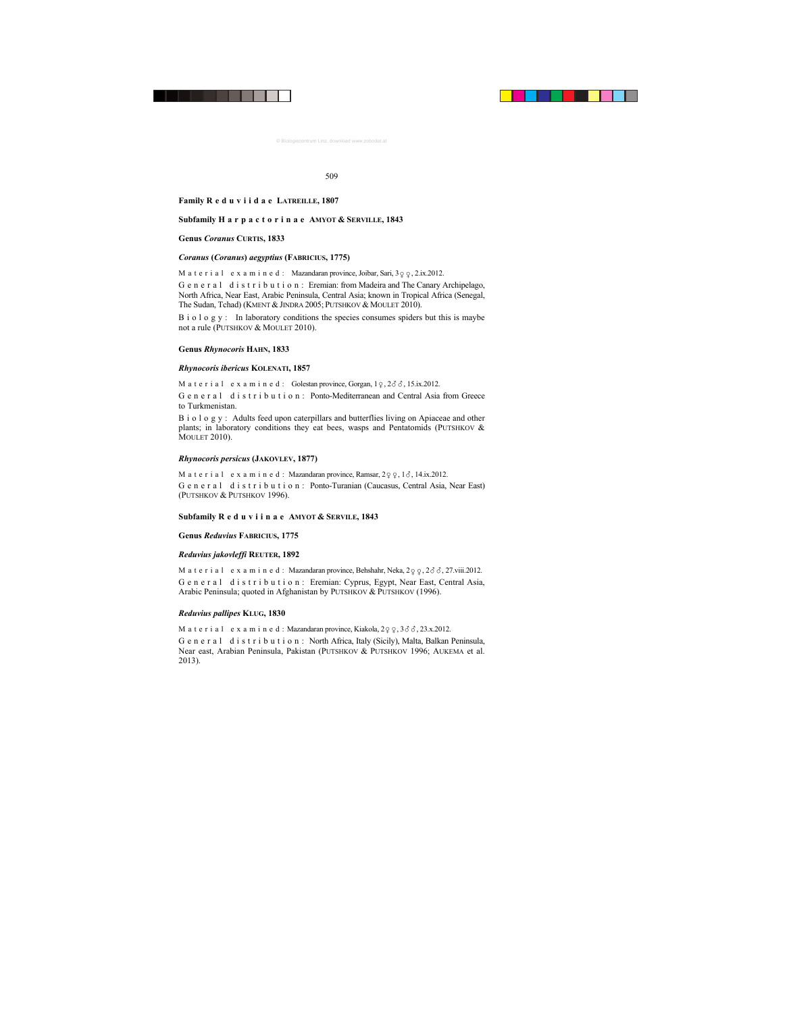#### **Family R e d u v i i d a e LATREILLE, 1807**

#### **Subfamily H a r p a c t o r i n a e AMYOT & SERVILLE, 1843**

#### **Genus** *Coranus* **CURTIS, 1833**

#### *Coranus* **(***Coranus***)** *aegyptius* **(FABRICIUS, 1775)**

M a t e r i a l e x a m i n e d : Mazandaran province, Joibar, Sari,  $3 \varphi \varphi$ , 2.ix.2012.

G e n e r a l d i s t r i b u t i o n : Eremian: from Madeira and The Canary Archipelago, North Africa, Near East, Arabic Peninsula, Central Asia; known in Tropical Africa (Senegal, The Sudan, Tchad) (KMENT & JINDRA 2005; PUTSHKOV & MOULET 2010).

B i o l o g y : In laboratory conditions the species consumes spiders but this is maybe not a rule (PUTSHKOV & MOULET 2010).

#### **Genus** *Rhynocoris* **HAHN, 1833**

#### *Rhynocoris ibericus* **KOLENATI, 1857**

M a t e r i a l e x a m i n e d : Golestan province, Gorgan,  $1\varphi$ ,  $2\vartheta \vartheta$ ,  $15$ .ix.2012.

General distribution: Ponto-Mediterranean and Central Asia from Greece to Turkmenistan.

Biology: Adults feed upon caterpillars and butterflies living on Apiaceae and other plants; in laboratory conditions they eat bees, wasps and Pentatomids (PUTSHKOV  $\&$ MOULET 2010).

#### *Rhynocoris persicus* **(JAKOVLEV, 1877)**

M a t e r i a l e x a m i n e d : Mazandaran province, Ramsar,  $2\varphi$   $\varphi$ ,  $1\delta$ , 14.ix.2012. G e n e r a l d i s t r i b u t i o n : Ponto-Turanian (Caucasus, Central Asia, Near East) (PUTSHKOV & PUTSHKOV 1996).

#### **Subfamily R e d u v i i n a e AMYOT & SERVILE, 1843**

#### **Genus** *Reduvius* **FABRICIUS, 1775**

#### *Reduvius jakovleffi* **REUTER, 1892**

M a t e r i a l e x a m i n e d : Mazandaran province, Behshahr, Neka,  $2\varphi \varphi$ ,  $2\delta \delta$ , 27.viii.2012. General distribution: Eremian: Cyprus, Egypt, Near East, Central Asia, Arabic Peninsula; quoted in Afghanistan by PUTSHKOV & PUTSHKOV (1996).

#### *Reduvius pallipes* **KLUG, 1830**

M a t e r i a l e x a m i n e d : Mazandaran province, Kiakola,  $2 \varphi \varphi$ ,  $3 \delta \delta$ ,  $23.x.2012$ .

G e n e r a l d i s t r i b u t i o n : North Africa, Italy (Sicily), Malta, Balkan Peninsula, Near east, Arabian Peninsula, Pakistan (PUTSHKOV & PUTSHKOV 1996; AUKEMA et al. 2013).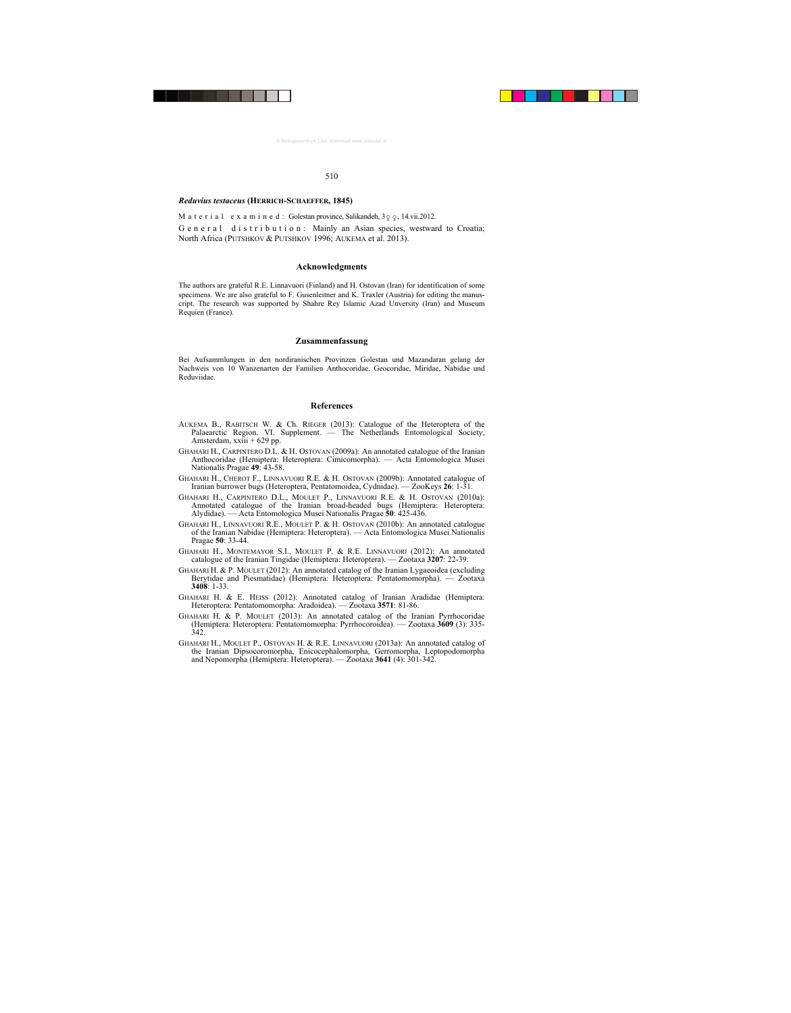## *Reduvius testaceus* **(HERRICH-SCHAEFFER, 1845)**

M a t e r i a l e x a m i n e d : Golestan province, Salikandeh,  $3 \circ \phi$ , 14.vii.2012.

G e n e r a l d i s t r i b u t i o n : Mainly an Asian species, westward to Croatia; North Africa (PUTSHKOV & PUTSHKOV 1996; AUKEMA et al. 2013).

#### **Acknowledgments**

The authors are grateful R.E. Linnavuori (Finland) and H. Ostovan (Iran) for identification of some specimens. We are also grateful to F. Gusenleitner and K. Traxler (Austria) for editing the manuscript. The research was supported by Shahre Rey Islamic Azad Unversity (Iran) and Museum Requien (France).

#### **Zusammenfassung**

Bei Aufsammlungen in den nordiranischen Provinzen Golestan und Mazandaran gelang der Nachweis von 10 Wanzenarten der Familien Anthocoridae, Geocoridae, Miridae, Nabidae und Reduviidae.

#### **References**

- AUKEMA B., RABITSCH W. & Ch. RIEGER (2013): Catalogue of the Heteroptera of the Palaearctic Region. VI. Supplement. — The Netherlands Entomological Society, Amsterdam,  $xxiii + 629$  pp.
- GHAHARI H., CARPINTERO D.L. & H. OSTOVAN (2009a): An annotated catalogue of the Iranian Anthocoridae (Hemiptera: Heteroptera: Cimicomorpha). — Acta Entomologica Musei Nationalis Pragae **49**: 43-58.
- GHAHARI H., CHEROT F., LINNAVUORI R.E. & H. OSTOVAN (2009b): Annotated catalogue of Iranian burrower bugs (Heteroptera, Pentatomoidea, Cydnidae). — ZooKeys **26**: 1-31.
- GHAHARI H., CARPINTERO D.L., MOULET P., LINNAVUORI R.E. & H. OSTOVAN (2010a): Annotated catalogue of the Iranian broad-headed bugs (Hemiptera: Heteroptera: Alydidae). — Acta Entomologica Musei Nationalis Pragae **50**: 425-436.
- GHAHARI H., LINNAVUORI R.E., MOULET P. & H. OSTOVAN (2010b): An annotated catalogue of the Iranian Nabidae (Hemiptera: Heteroptera). — Acta Entomologica Musei Nationalis Pragae **50**: 33-44.
- GHAHARI H., MONTEMAYOR S.I., MOULET P. & R.E. LINNAVUORI (2012): An annotated catalogue of the Iranian Tingidae (Hemiptera: Heteroptera). — Zootaxa **3207**: 22-39.
- GHAHARI H. & P. MOULET (2012): An annotated catalog of the Iranian Lygaeoidea (excluding Berytidae and Piesmatidae) (Hemiptera: Heteroptera: Pentatomomorpha). — Zootaxa **3408**: 1-33.
- GHAHARI H. & E. HEISS (2012): Annotated catalog of Iranian Aradidae (Hemiptera: Heteroptera: Pentatomomorpha: Aradoidea). — Zootaxa **3571**: 81-86.
- GHAHARI H. & P. MOULET (2013): An annotated catalog of the Iranian Pyrrhocoridae (Hemiptera: Heteroptera: Pentatomomorpha: Pyrrhocoroidea). — Zootaxa **3609** (3): 335-  $342.$
- GHAHARI H., MOULET P., OSTOVAN H. & R.E. LINNAVUORI (2013a): An annotated catalog of the Iranian Dipsocoromorpha, Enicocephalomorpha, Gerromorpha, Leptopodomorpha and Nepomorpha (Hemiptera: Heteroptera). — Zootaxa **3641** (4): 301-342.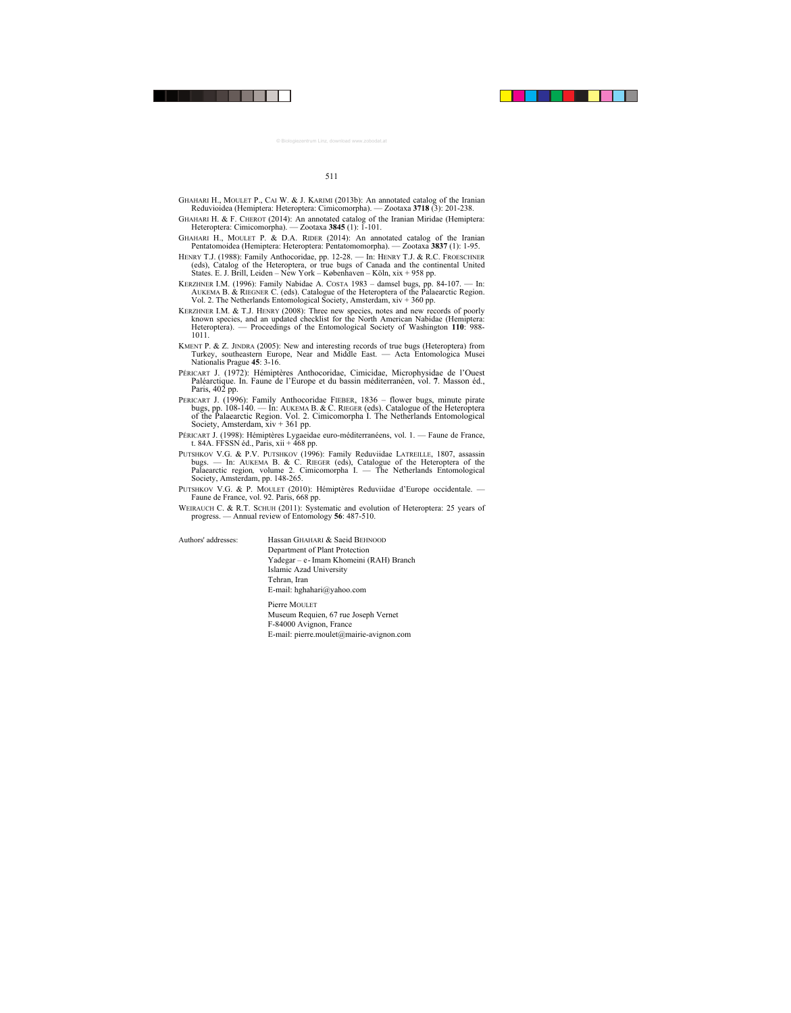- GHAHARI H., MOULET P., CAI W. & J. KARIMI (2013b): An annotated catalog of the Iranian Reduvioidea (Hemiptera: Heteroptera: Cimicomorpha). — Zootaxa **3718** (3): 201-238.
- GHAHARI H. & F. CHEROT (2014): An annotated catalog of the Iranian Miridae (Hemiptera: Heteroptera: Cimicomorpha). — Zootaxa **3845** (1): 1-101.
- GHAHARI H., MOULET P. & D.A. RIDER (2014): An annotated catalog of the Iranian Pentatomoidea (Hemiptera: Heteroptera: Pentatomomorpha). — Zootaxa **3837** (1): 1-95.
- HENRY T.J. (1988): Family Anthocoridae, pp. 12-28. In: HENRY T.J. & R.C. FROESCHNER (eds), Catalog of the Heteroptera, or true bugs of Canada and the continental United States. E. J. Brill, Leiden – New York – Københaven – Köln, xix + 958 pp.
- KERZHNER I.M. (1996): Family Nabidae A. COSTA 1983 damsel bugs, pp. 84-107. In: AUKEMA B. & RIEGNER C. (eds). Catalogue of the Heteroptera of the Palaearctic Region. Vol. 2. The Netherlands Entomological Society, Amsterdam,  $xiv + 360$  pp.
- KERZHNER I.M. & T.J. HENRY (2008): Three new species, notes and new records of poorly known species, and an updated checklist for the North American Nabidae (Hemiptera: Heteroptera). — Proceedings of the Entomological Society of Washington 110: 988-1011.
- KMENT P. & Z. JINDRA (2005): New and interesting records of true bugs (Heteroptera) from Turkey, southeastern Europe, Near and Middle East. — Acta Entomologica Musei Nationalis Prague **45**: 3-16.
- PÉRICART J. (1972): Hémiptères Anthocoridae, Cimicidae, Microphysidae de l'Ouest Paléarctique. In. Faune de l'Europe et du bassin méditerranéen, vol. **7**. Masson éd., Paris, 402 pp.
- PERICART J. (1996): Family Anthocoridae FIEBER, 1836 flower bugs, minute pirate bugs, pp. 108-140. — In: AUKEMA B. & C. RIEGER (eds). Catalogue of the Heteroptera of the Palaearctic Region. Vol. 2. Cimicomorpha I. The Netherlands Entomological Society, Amsterdam, xiv + 361 pp.
- PÉRICART J. (1998): Hémiptères Lygaeidae euro-méditerranéens, vol. 1. Faune de France, t. 84A. FFSSN éd., Paris, xii + 468 pp.
- PUTSHKOV V.G. & P.V. PUTSHKOV (1996): Family Reduviidae LATREILLE, 1807, assassin bugs. — In: AUKEMA B. & C. RIEGER (eds), Catalogue of the Heteroptera of the Palaearctic region, volume 2. Cimicomorpha I. — The Netherlands Entomological Society, Amsterdam, pp. 148-265.
- PUTSHKOV V.G. & P. MOULET (2010): Hémiptères Reduviidae d'Europe occidentale. Faune de France, vol. 92. Paris, 668 pp.
- WEIRAUCH C. & R.T. SCHUH (2011): Systematic and evolution of Heteroptera: 25 years of progress. — Annual review of Entomology **56**: 487-510.

| Authors' addresses: | Hassan GHAHARI & Saeid BEHNOOD<br>Department of Plant Protection<br>Yadegar – e-Imam Khomeini (RAH) Branch<br>Islamic Azad University<br>Tehran, Iran      |  |
|---------------------|------------------------------------------------------------------------------------------------------------------------------------------------------------|--|
|                     | E-mail: hghahari@yahoo.com<br>Pierre MOULET<br>Museum Requien, 67 rue Joseph Vernet<br>F-84000 Avignon, France<br>E-mail: pierre.moulet@mairie-avignon.com |  |